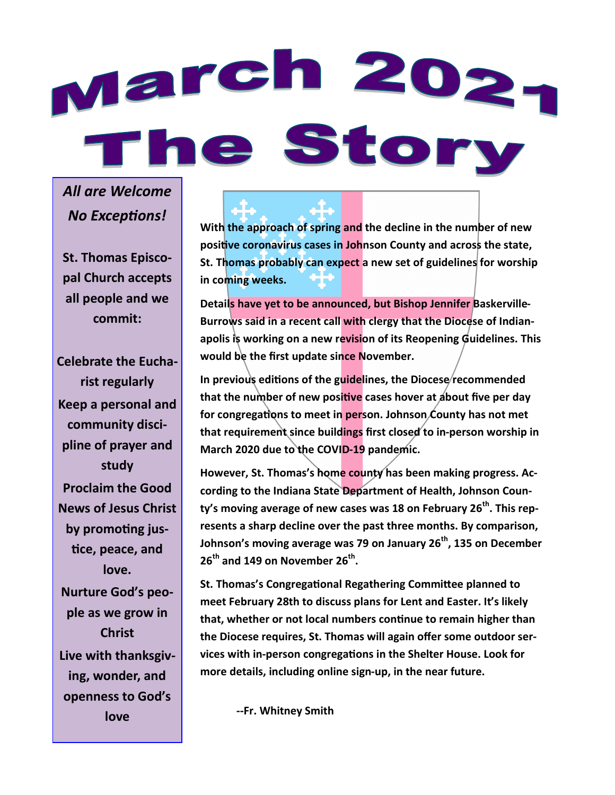# March 202. The Story

*All are Welcome No Exceptions!*

**St. Thomas Episcopal Church accepts all people and we commit:**

**Celebrate the Eucharist regularly Keep a personal and community discipline of prayer and study Proclaim the Good News of Jesus Christ by promoting justice, peace, and love. Nurture God's people as we grow in Christ Live with thanksgiving, wonder, and openness to God's love**

**With the approach of spring and the decline in the number of new positive coronavirus cases in Johnson County and across the state, St. Thomas probably can expect a new set of guidelines for worship in coming weeks.**

**Details have yet to be announced, but Bishop Jennifer Baskerville-Burrows said in a recent call with clergy that the Diocese of Indianapolis is working on a new revision of its Reopening Guidelines. This would be the first update since November.**

In previous editions of the guidelines, the Diocese recommended **that the number of new positive cases hover at about five per day for congregations to meet in person. Johnson County has not met that requirement since buildings first closed to in-person worship in March 2020 due to the COVID-19 pandemic.**

**However, St. Thomas's home county has been making progress. According to the Indiana State Department of Health, Johnson County's moving average of new cases was 18 on February 26th. This represents a sharp decline over the past three months. By comparison, Johnson's moving average was 79 on January 26th, 135 on December 26th and 149 on November 26th .**

**St. Thomas's Congregational Regathering Committee planned to meet February 28th to discuss plans for Lent and Easter. It's likely that, whether or not local numbers continue to remain higher than the Diocese requires, St. Thomas will again offer some outdoor services with in-person congregations in the Shelter House. Look for more details, including online sign-up, in the near future.** 

**--Fr. Whitney Smith**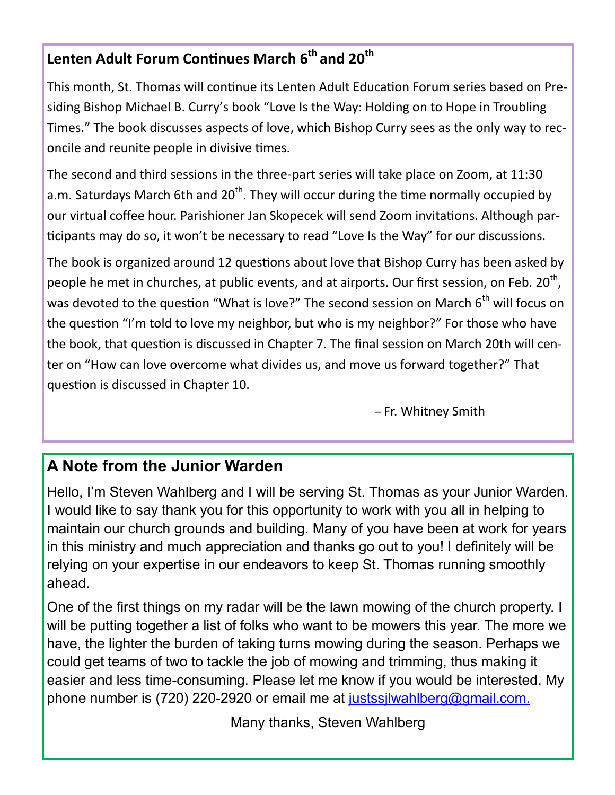#### <span id="page-1-0"></span>**Lenten Adult Forum Continues March 6th and 20th**

This month, St. Thomas will continue its Lenten Adult Education Forum series based on Presiding Bishop Michael B. Curry's book "Love Is the Way: Holding on to Hope in Troubling Times." The book discusses aspects of love, which Bishop Curry sees as the only way to reconcile and reunite people in divisive times.

The second and third sessions in the three-part series will take place on Zoom, at 11:30 a.m. Saturdays March 6th and 20<sup>th</sup>. They will occur during the time normally occupied by our virtual coffee hour. Parishioner Jan Skopecek will send Zoom invitations. Although participants may do so, it won't be necessary to read "Love Is the Way" for our discussions.

The book is organized around 12 questions about love that Bishop Curry has been asked by people he met in churches, at public events, and at airports. Our first session, on Feb. 20<sup>th</sup>, was devoted to the question "What is love?" The second session on March  $6<sup>th</sup>$  will focus on the question "I'm told to love my neighbor, but who is my neighbor?" For those who have the book, that question is discussed in Chapter 7. The final session on March 20th will center on "How can love overcome what divides us, and move us forward together?" That question is discussed in Chapter 10.

– Fr. Whitney Smith

#### **A Note from the Junior Warden**

Hello, I'm Steven Wahlberg and I will be serving St. Thomas as your Junior Warden. I would like to say thank you for this opportunity to work with you all in helping to maintain our church grounds and building. Many of you have been at work for years in this ministry and much appreciation and thanks go out to you! I definitely will be relying on your expertise in our endeavors to keep St. Thomas running smoothly ahead.

One of the first things on my radar will be the lawn mowing of the church property. I will be putting together a list of folks who want to be mowers this year. The more we have, the lighter the burden of taking turns mowing during the season. Perhaps we could get teams of two to tackle the job of mowing and trimming, thus making it easier and less time-consuming. Please let me know if you would be interested. My phone number is (720) 220-2920 or email me at justssilwahlberg@gmail.com.

Many thanks, Steven Wahlberg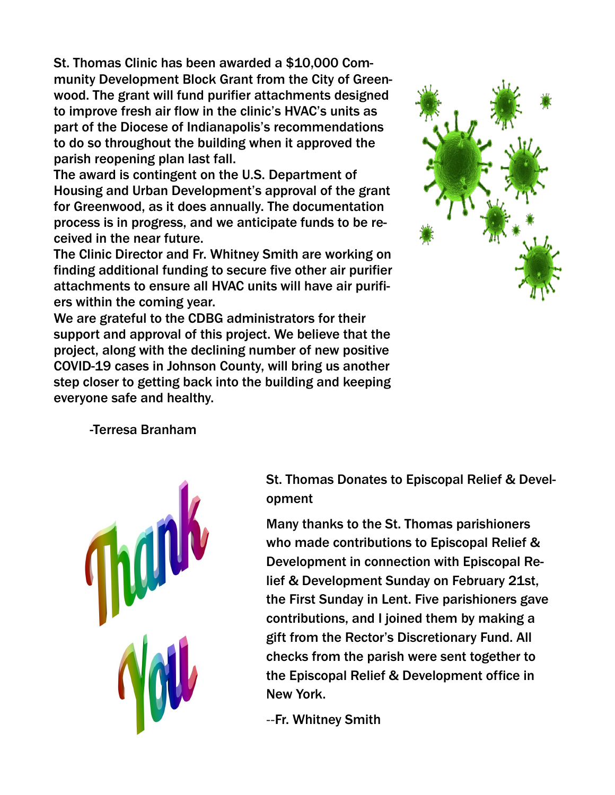St. Thomas Clinic has been awarded a \$10,000 Community Development Block Grant from the City of Greenwood. The grant will fund purifier attachments designed to improve fresh air flow in the clinic's HVAC's units as part of the Diocese of Indianapolis's recommendations to do so throughout the building when it approved the parish reopening plan last fall.

The award is contingent on the U.S. Department of Housing and Urban Development's approval of the grant for Greenwood, as it does annually. The documentation process is in progress, and we anticipate funds to be received in the near future.

The Clinic Director and Fr. Whitney Smith are working on finding additional funding to secure five other air purifier attachments to ensure all HVAC units will have air purifiers within the coming year.

We are grateful to the CDBG administrators for their support and approval of this project. We believe that the project, along with the declining number of new positive COVID-19 cases in Johnson County, will bring us another step closer to getting back into the building and keeping everyone safe and healthy.



-Terresa Branham

St. Thomas Donates to Episcopal Relief & Development

Many thanks to the St. Thomas parishioners who made contributions to Episcopal Relief & Development in connection with Episcopal Relief & Development Sunday on February 21st, the First Sunday in Lent. Five parishioners gave contributions, and I joined them by making a gift from the Rector's Discretionary Fund. All checks from the parish were sent together to the Episcopal Relief & Development office in New York.

--Fr. Whitney Smith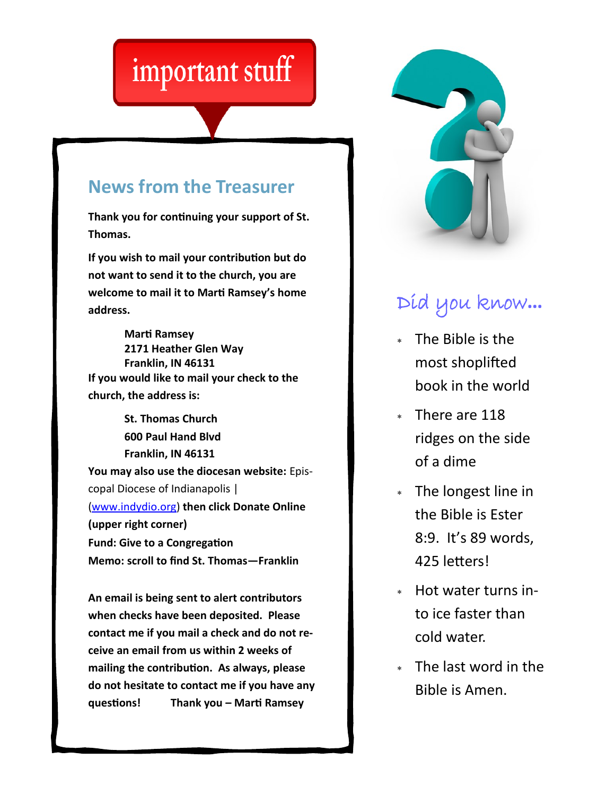## <span id="page-3-0"></span>important stuff

#### **News from the Treasurer**

**Thank you for continuing your support of St. Thomas.** 

**If you wish to mail your contribution but do not want to send it to the church, you are welcome to mail it to Marti Ramsey's home address.** 

**Marti Ramsey 2171 Heather Glen Way Franklin, IN 46131 If you would like to mail your check to the church, the address is:**

**St. Thomas Church 600 Paul Hand Blvd Franklin, IN 46131 You may also use the diocesan website:** Episcopal Diocese of Indianapolis | [\(www.indydio.org\)](#page-3-0) **then click Donate Online (upper right corner) Fund: Give to a Congregation Memo: scroll to find St. Thomas—Franklin**

**An email is being sent to alert contributors when checks have been deposited. Please contact me if you mail a check and do not receive an email from us within 2 weeks of mailing the contribution. As always, please do not hesitate to contact me if you have any questions! Thank you – Marti Ramsey**



### Did you know**…**

- The Bible is the most shoplifted book in the world
- There are 118 ridges on the side of a dime
- The longest line in the Bible is Ester 8:9. It's 89 words, 425 letters!
- Hot water turns into ice faster than cold water.
- The last word in the Bible is Amen.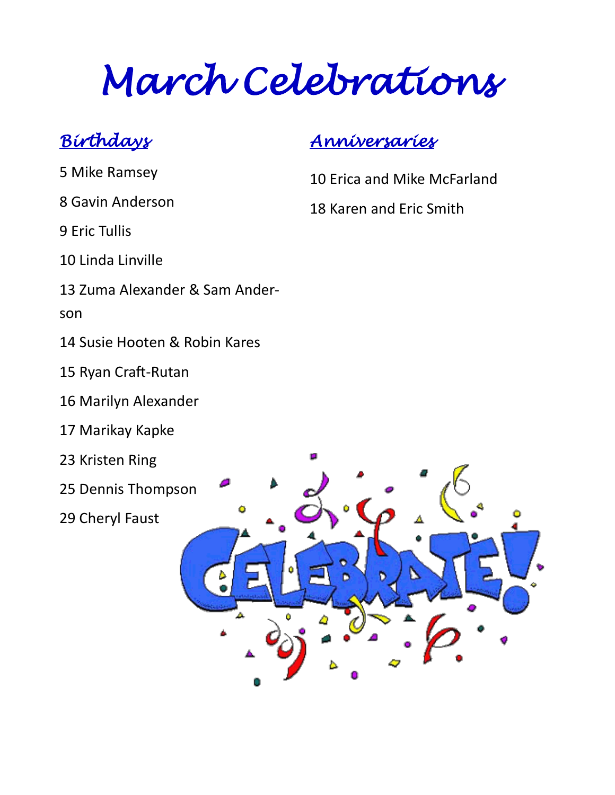*March Celebrations* 

#### *Birthdays*

- 5 Mike Ramsey
- 8 Gavin Anderson
- 9 Eric Tullis
- 10 Linda Linville
- 13 Zuma Alexander & Sam Ander-
- son
- 14 Susie Hooten & Robin Kares
- 15 Ryan Craft-Rutan
- 16 Marilyn Alexander
- 17 Marikay Kapke
- 23 Kristen Ring
- 25 Dennis Thompson
- 29 Cheryl Faust

#### *Anniversaries*

- 10 Erica and Mike McFarland
- 18 Karen and Eric Smith